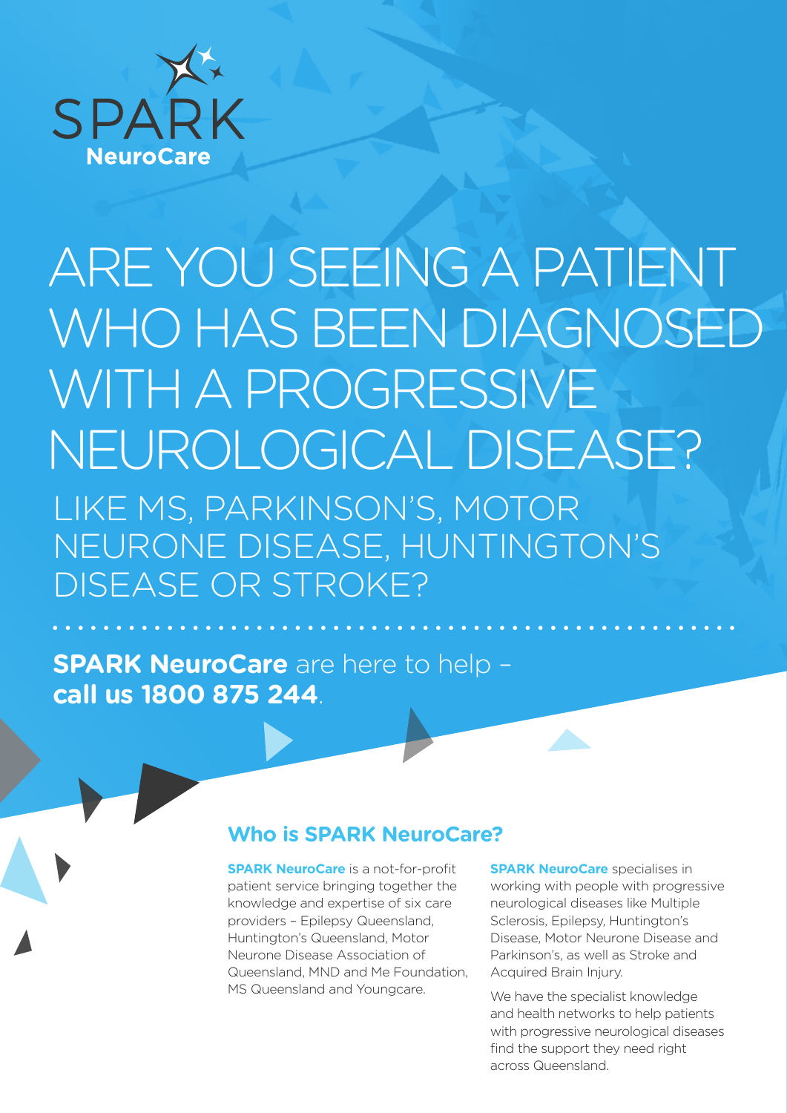

# ARE YOU SEEING A PATIENT WHO HAS BEEN DIAGNOSED WITH A PROGRESSIVE NEUROLOGICAL DISEASE? LIKE MS, PARKINSON'S, MOTOR NEURONE DISEASE, HUNTINGTON'S DISEASE OR STROKE?

**SPARK NeuroCare** are here to help – **call us 1800 875 244**.

## **Who is SPARK NeuroCare?**

**SPARK NeuroCare** is a not-for-profit patient service bringing together the knowledge and expertise of six care providers – Epilepsy Queensland, Huntington's Queensland, Motor Neurone Disease Association of Queensland, MND and Me Foundation, MS Queensland and Youngcare.

**SPARK NeuroCare** specialises in working with people with progressive neurological diseases like Multiple Sclerosis, Epilepsy, Huntington's Disease, Motor Neurone Disease and Parkinson's, as well as Stroke and Acquired Brain Injury.

We have the specialist knowledge and health networks to help patients with progressive neurological diseases find the support they need right across Queensland.